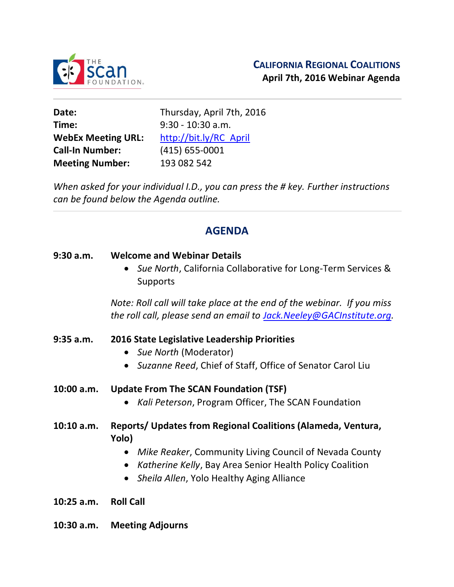

**Time:** 9:30 - 10:30 a.m. **WebEx Meeting URL:** http://bit.ly/RC\_April **Call-In Number:** (415) 655-0001 **Meeting Number:** 193 082 542

**Date:** Thursday, April 7th, 2016

*When asked for your individual I.D., you can press the # key. Further instructions can be found below the Agenda outline.*

# **AGENDA**

#### **9:30 a.m. Welcome and Webinar Details**

 *Sue North*, California Collaborative for Long-Term Services & **Supports** 

*Note: Roll call will take place at the end of the webinar. If you miss the roll call, please send an email to Jack.Neeley@GACInstitute.org.* 

#### **9:35 a.m. 2016 State Legislative Leadership Priorities**

- *Sue North* (Moderator)
- *Suzanne Reed*, Chief of Staff, Office of Senator Carol Liu
- **10:00 a.m. Update From The SCAN Foundation (TSF)**
	- *Kali Peterson*, Program Officer, The SCAN Foundation
- **10:10 a.m. Reports/ Updates from Regional Coalitions (Alameda, Ventura, Yolo)** 
	- *Mike Reaker*, Community Living Council of Nevada County
	- *Katherine Kelly*, Bay Area Senior Health Policy Coalition
	- *Sheila Allen*, Yolo Healthy Aging Alliance
- **10:25 a.m. Roll Call**
- **10:30 a.m. Meeting Adjourns**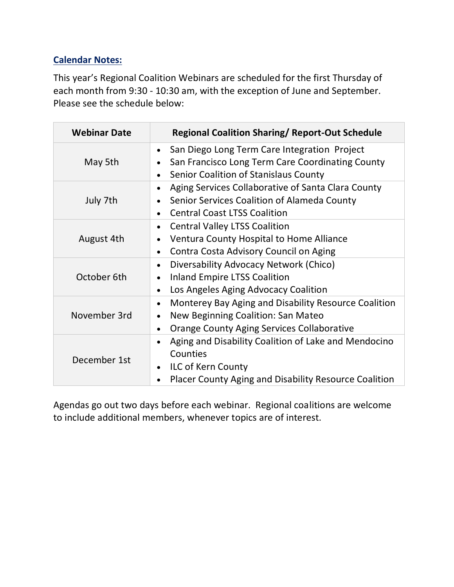### **Calendar Notes:**

This year's Regional Coalition Webinars are scheduled for the first Thursday of each month from 9:30 - 10:30 am, with the exception of June and September. Please see the schedule below:

| <b>Webinar Date</b> | <b>Regional Coalition Sharing/ Report-Out Schedule</b>                                                                                                                                 |
|---------------------|----------------------------------------------------------------------------------------------------------------------------------------------------------------------------------------|
| May 5th             | San Diego Long Term Care Integration Project<br>$\bullet$<br>San Francisco Long Term Care Coordinating County<br>$\bullet$<br>Senior Coalition of Stanislaus County<br>$\bullet$       |
| July 7th            | Aging Services Collaborative of Santa Clara County<br>$\bullet$<br>Senior Services Coalition of Alameda County<br>$\bullet$<br><b>Central Coast LTSS Coalition</b>                     |
| August 4th          | <b>Central Valley LTSS Coalition</b><br>$\bullet$<br>Ventura County Hospital to Home Alliance<br>Contra Costa Advisory Council on Aging<br>$\bullet$                                   |
| October 6th         | Diversability Advocacy Network (Chico)<br>$\bullet$<br><b>Inland Empire LTSS Coalition</b><br>$\bullet$<br>Los Angeles Aging Advocacy Coalition<br>$\bullet$                           |
| November 3rd        | Monterey Bay Aging and Disability Resource Coalition<br>$\bullet$<br>New Beginning Coalition: San Mateo<br>$\bullet$<br><b>Orange County Aging Services Collaborative</b><br>$\bullet$ |
| December 1st        | Aging and Disability Coalition of Lake and Mendocino<br>$\bullet$<br>Counties<br><b>ILC of Kern County</b><br>$\bullet$<br>Placer County Aging and Disability Resource Coalition       |

Agendas go out two days before each webinar. Regional coalitions are welcome to include additional members, whenever topics are of interest.